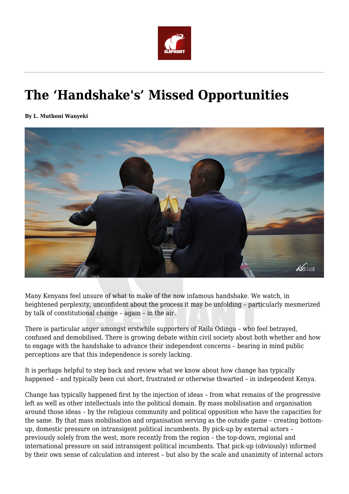

## **The 'Handshake's' Missed Opportunities**

**By L. Muthoni Wanyeki**



Many Kenyans feel unsure of what to make of the now infamous handshake. We watch, in heightened perplexity, unconfident about the process it may be unfolding – particularly mesmerized by talk of constitutional change – again – in the air.

There is particular anger amongst erstwhile supporters of Raila Odinga – who feel betrayed, confused and demobilised. There is growing debate within civil society about both whether and how to engage with the handshake to advance their independent concerns – bearing in mind public perceptions are that this independence is sorely lacking.

It is perhaps helpful to step back and review what we know about how change has typically happened – and typically been cut short, frustrated or otherwise thwarted – in independent Kenya.

Change has typically happened first by the injection of ideas – from what remains of the progressive left as well as other intellectuals into the political domain. By mass mobilisation and organisation around those ideas – by the religious community and political opposition who have the capacities for the same. By that mass mobilisation and organisation serving as the outside game – creating bottomup, domestic pressure on intransigent political incumbents. By pick-up by external actors – previously solely from the west, more recently from the region – the top-down, regional and international pressure on said intransigent political incumbents. That pick-up (obviously) informed by their own sense of calculation and interest – but also by the scale and unanimity of internal actors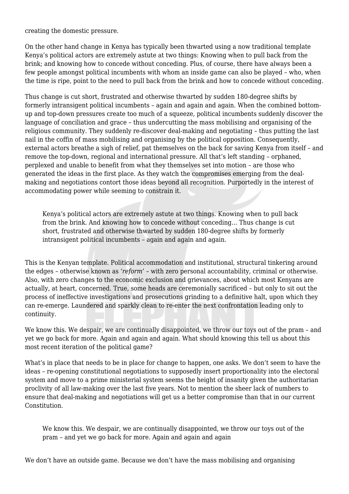creating the domestic pressure.

On the other hand change in Kenya has typically been thwarted using a now traditional template Kenya's political actors are extremely astute at two things: Knowing when to pull back from the brink; and knowing how to concede without conceding. Plus, of course, there have always been a few people amongst political incumbents with whom an inside game can also be played – who, when the time is ripe, point to the need to pull back from the brink and how to concede without conceding.

Thus change is cut short, frustrated and otherwise thwarted by sudden 180-degree shifts by formerly intransigent political incumbents – again and again and again. When the combined bottomup and top-down pressures create too much of a squeeze, political incumbents suddenly discover the language of conciliation and grace – thus undercutting the mass mobilising and organising of the religious community. They suddenly re-discover deal-making and negotiating – thus putting the last nail in the coffin of mass mobilising and organising by the political opposition. Consequently, external actors breathe a sigh of relief, pat themselves on the back for saving Kenya from itself – and remove the top-down, regional and international pressure. All that's left standing – orphaned, perplexed and unable to benefit from what they themselves set into motion – are those who generated the ideas in the first place. As they watch the compromises emerging from the dealmaking and negotiations contort those ideas beyond all recognition. Purportedly in the interest of accommodating power while seeming to constrain it.

Kenya's political actors are extremely astute at two things. Knowing when to pull back from the brink. And knowing how to concede without conceding… Thus change is cut short, frustrated and otherwise thwarted by sudden 180-degree shifts by formerly intransigent political incumbents – again and again and again.

This is the Kenyan template. Political accommodation and institutional, structural tinkering around the edges – otherwise known as '*reform*' – with zero personal accountability, criminal or otherwise. Also, with zero changes to the economic exclusion and grievances, about which most Kenyans are actually, at heart, concerned. True, some heads are ceremonially sacrificed – but only to sit out the process of ineffective investigations and prosecutions grinding to a definitive halt, upon which they can re-emerge. Laundered and sparkly clean to re-enter the next confrontation leading only to continuity.

We know this. We despair, we are continually disappointed, we throw our toys out of the pram - and yet we go back for more. Again and again and again. What should knowing this tell us about this most recent iteration of the political game?

What's in place that needs to be in place for change to happen, one asks. We don't seem to have the ideas – re-opening constitutional negotiations to supposedly insert proportionality into the electoral system and move to a prime ministerial system seems the height of insanity given the authoritarian proclivity of all law-making over the last five years. Not to mention the sheer lack of numbers to ensure that deal-making and negotiations will get us a better compromise than that in our current Constitution.

We know this. We despair, we are continually disappointed, we throw our toys out of the pram – and yet we go back for more. Again and again and again

We don't have an outside game. Because we don't have the mass mobilising and organising